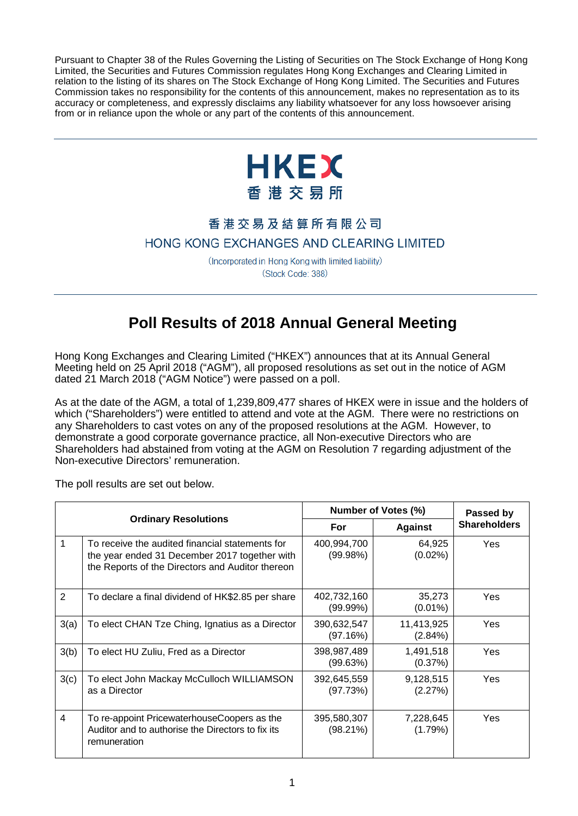Pursuant to Chapter 38 of the Rules Governing the Listing of Securities on The Stock Exchange of Hong Kong Limited, the Securities and Futures Commission regulates Hong Kong Exchanges and Clearing Limited in relation to the listing of its shares on The Stock Exchange of Hong Kong Limited. The Securities and Futures Commission takes no responsibility for the contents of this announcement, makes no representation as to its accuracy or completeness, and expressly disclaims any liability whatsoever for any loss howsoever arising from or in reliance upon the whole or any part of the contents of this announcement.



## 香港交易及結算所有限公司

## HONG KONG EXCHANGES AND CLEARING LIMITED

(Incorporated in Hong Kong with limited liability) (Stock Code: 388)

## **Poll Results of 2018 Annual General Meeting**

Hong Kong Exchanges and Clearing Limited ("HKEX") announces that at its Annual General Meeting held on 25 April 2018 ("AGM"), all proposed resolutions as set out in the notice of AGM dated 21 March 2018 ("AGM Notice") were passed on a poll.

As at the date of the AGM, a total of 1,239,809,477 shares of HKEX were in issue and the holders of which ("Shareholders") were entitled to attend and vote at the AGM. There were no restrictions on any Shareholders to cast votes on any of the proposed resolutions at the AGM. However, to demonstrate a good corporate governance practice, all Non-executive Directors who are Shareholders had abstained from voting at the AGM on Resolution 7 regarding adjustment of the Non-executive Directors' remuneration.

The poll results are set out below.

| <b>Ordinary Resolutions</b> |                                                                                                                                                      | Number of Votes (%)     |                       | Passed by           |
|-----------------------------|------------------------------------------------------------------------------------------------------------------------------------------------------|-------------------------|-----------------------|---------------------|
|                             |                                                                                                                                                      | For                     | <b>Against</b>        | <b>Shareholders</b> |
| 1                           | To receive the audited financial statements for<br>the year ended 31 December 2017 together with<br>the Reports of the Directors and Auditor thereon | 400,994,700<br>(99.98%) | 64,925<br>$(0.02\%)$  | Yes                 |
| $\overline{2}$              | To declare a final dividend of HK\$2.85 per share                                                                                                    | 402,732,160<br>(99.99%) | 35,273<br>$(0.01\%)$  | <b>Yes</b>          |
| 3(a)                        | To elect CHAN Tze Ching, Ignatius as a Director                                                                                                      | 390,632,547<br>(97.16%) | 11,413,925<br>(2.84%) | Yes                 |
| 3(b)                        | To elect HU Zuliu, Fred as a Director                                                                                                                | 398,987,489<br>(99.63%) | 1,491,518<br>(0.37%)  | Yes                 |
| 3(c)                        | To elect John Mackay McCulloch WILLIAMSON<br>as a Director                                                                                           | 392,645,559<br>(97.73%) | 9,128,515<br>(2.27%)  | Yes                 |
| 4                           | To re-appoint PricewaterhouseCoopers as the<br>Auditor and to authorise the Directors to fix its<br>remuneration                                     | 395,580,307<br>(98.21%) | 7,228,645<br>(1.79%)  | Yes                 |